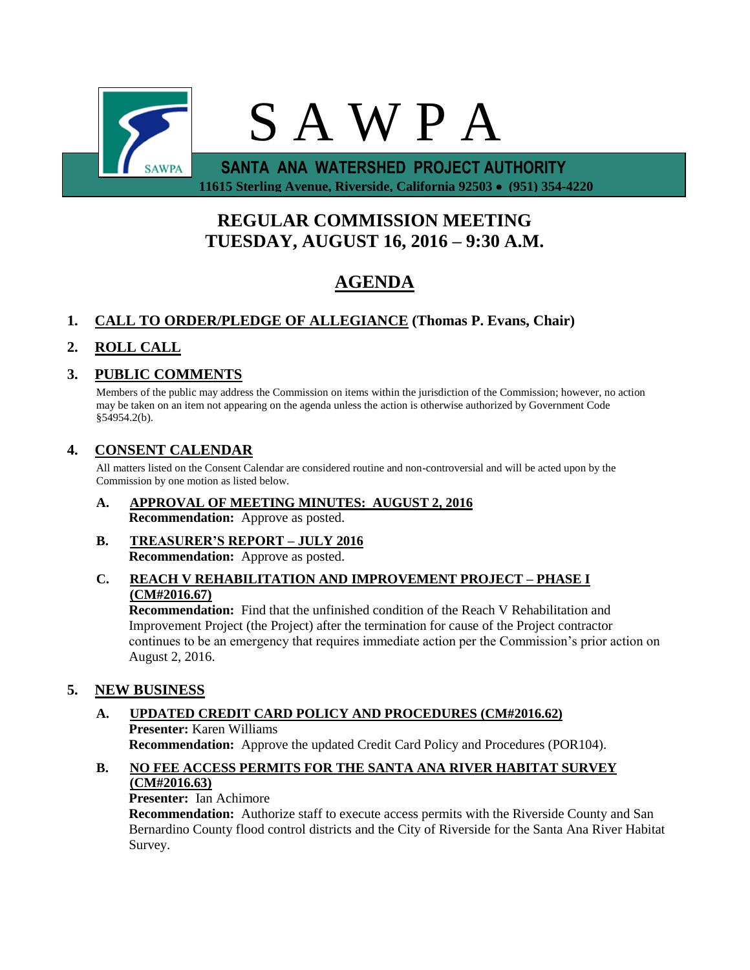

# **REGULAR COMMISSION MEETING TUESDAY, AUGUST 16, 2016 – 9:30 A.M.**

# **AGENDA**

# **1. CALL TO ORDER/PLEDGE OF ALLEGIANCE (Thomas P. Evans, Chair)**

# **2. ROLL CALL**

## **3. PUBLIC COMMENTS**

Members of the public may address the Commission on items within the jurisdiction of the Commission; however, no action may be taken on an item not appearing on the agenda unless the action is otherwise authorized by Government Code §54954.2(b).

## **4. CONSENT CALENDAR**

All matters listed on the Consent Calendar are considered routine and non-controversial and will be acted upon by the Commission by one motion as listed below.

- **A. APPROVAL OF MEETING MINUTES: AUGUST 2, 2016 Recommendation:** Approve as posted.
- **B. TREASURER'S REPORT – JULY 2016 Recommendation:** Approve as posted.
- **C. REACH V REHABILITATION AND IMPROVEMENT PROJECT – PHASE I (CM#2016.67)**

**Recommendation:** Find that the unfinished condition of the Reach V Rehabilitation and Improvement Project (the Project) after the termination for cause of the Project contractor continues to be an emergency that requires immediate action per the Commission's prior action on August 2, 2016.

## **5. NEW BUSINESS**

## **A. UPDATED CREDIT CARD POLICY AND PROCEDURES (CM#2016.62) Presenter:** Karen Williams **Recommendation:** Approve the updated Credit Card Policy and Procedures (POR104).

### **B. NO FEE ACCESS PERMITS FOR THE SANTA ANA RIVER HABITAT SURVEY (CM#2016.63)**

## **Presenter:** Ian Achimore

**Recommendation:** Authorize staff to execute access permits with the Riverside County and San Bernardino County flood control districts and the City of Riverside for the Santa Ana River Habitat Survey.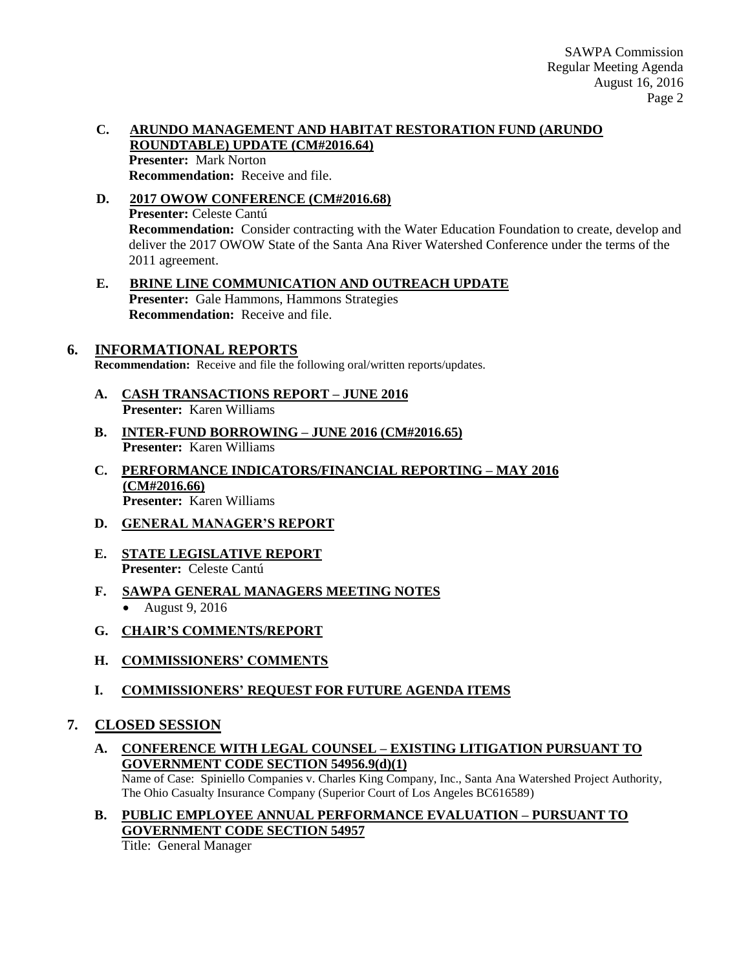### **C. ARUNDO MANAGEMENT AND HABITAT RESTORATION FUND (ARUNDO ROUNDTABLE) UPDATE (CM#2016.64) Presenter:** Mark Norton **Recommendation:** Receive and file.

- **D. 2017 OWOW CONFERENCE (CM#2016.68) Presenter:** Celeste Cantú **Recommendation:** Consider contracting with the Water Education Foundation to create, develop and deliver the 2017 OWOW State of the Santa Ana River Watershed Conference under the terms of the 2011 agreement.
- **E. BRINE LINE COMMUNICATION AND OUTREACH UPDATE Presenter:** Gale Hammons, Hammons Strategies **Recommendation:** Receive and file.

## **6. INFORMATIONAL REPORTS**

**Recommendation:** Receive and file the following oral/written reports/updates.

- **A. CASH TRANSACTIONS REPORT – JUNE 2016 Presenter:** Karen Williams
- **B. INTER-FUND BORROWING – JUNE 2016 (CM#2016.65) Presenter:** Karen Williams
- **C. PERFORMANCE INDICATORS/FINANCIAL REPORTING – MAY 2016 (CM#2016.66) Presenter:** Karen Williams
- **D. GENERAL MANAGER'S REPORT**
- **E. STATE LEGISLATIVE REPORT Presenter:** Celeste Cantú
- **F. SAWPA GENERAL MANAGERS MEETING NOTES** August 9, 2016
- **G. CHAIR'S COMMENTS/REPORT**
- **H. COMMISSIONERS' COMMENTS**
- **I. COMMISSIONERS' REQUEST FOR FUTURE AGENDA ITEMS**

## **7. CLOSED SESSION**

- **A. CONFERENCE WITH LEGAL COUNSEL – EXISTING LITIGATION PURSUANT TO GOVERNMENT CODE SECTION 54956.9(d)(1)** Name of Case: Spiniello Companies v. Charles King Company, Inc., Santa Ana Watershed Project Authority, The Ohio Casualty Insurance Company (Superior Court of Los Angeles BC616589)
- **B. PUBLIC EMPLOYEE ANNUAL PERFORMANCE EVALUATION – PURSUANT TO GOVERNMENT CODE SECTION 54957**

Title: General Manager